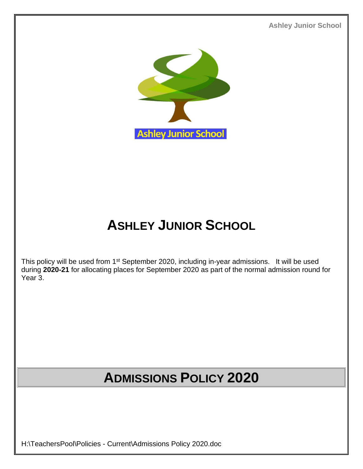**Ashley Junior School**



# **ASHLEY JUNIOR SCHOOL**

This policy will be used from 1<sup>st</sup> September 2020, including in-year admissions. It will be used during **2020-21** for allocating places for September 2020 as part of the normal admission round for Year 3.

# **ADMISSIONS POLICY 2020**

H:\TeachersPool\Policies - Current\Admissions Policy 2020.doc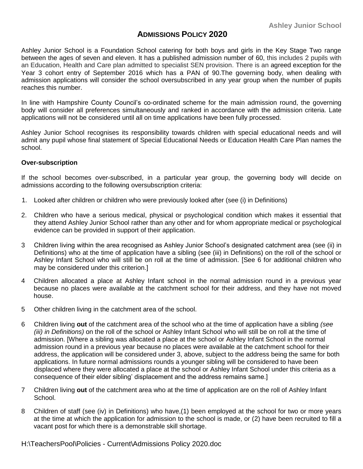## **ADMISSIONS POLICY 2020**

Ashley Junior School is a Foundation School catering for both boys and girls in the Key Stage Two range between the ages of seven and eleven. It has a published admission number of 60, this includes 2 pupils with an Education, Health and Care plan admitted to specialist SEN provision. There is an agreed exception for the Year 3 cohort entry of September 2016 which has a PAN of 90.The governing body, when dealing with admission applications will consider the school oversubscribed in any year group when the number of pupils reaches this number.

In line with Hampshire County Council's co-ordinated scheme for the main admission round, the governing body will consider all preferences simultaneously and ranked in accordance with the admission criteria. Late applications will not be considered until all on time applications have been fully processed.

Ashley Junior School recognises its responsibility towards children with special educational needs and will admit any pupil whose final statement of Special Educational Needs or Education Health Care Plan names the school.

#### **Over-subscription**

If the school becomes over-subscribed, in a particular year group, the governing body will decide on admissions according to the following oversubscription criteria:

- 1. Looked after children or children who were previously looked after (see (i) in Definitions)
- 2. Children who have a serious medical, physical or psychological condition which makes it essential that they attend Ashley Junior School rather than any other and for whom appropriate medical or psychological evidence can be provided in support of their application.
- 3 Children living within the area recognised as Ashley Junior School's designated catchment area (see (ii) in Definitions) who at the time of application have a sibling (see (iii) in Definitions) on the roll of the school or Ashley Infant School who will still be on roll at the time of admission. [See 6 for additional children who may be considered under this criterion.]
- 4 Children allocated a place at Ashley Infant school in the normal admission round in a previous year because no places were available at the catchment school for their address, and they have not moved house.
- 5 Other children living in the catchment area of the school.
- 6 Children living **out** of the catchment area of the school who at the time of application have a sibling *(see (iii) in Definitions)* on the roll of the school or Ashley Infant School who will still be on roll at the time of admission. [Where a sibling was allocated a place at the school or Ashley Infant School in the normal admission round in a previous year because no places were available at the catchment school for their address, the application will be considered under 3, above, subject to the address being the same for both applications. In future normal admissions rounds a younger sibling will be considered to have been displaced where they were allocated a place at the school or Ashley Infant School under this criteria as a consequence of their elder sibling' displacement and the address remains same.]
- 7 Children living **out** of the catchment area who at the time of application are on the roll of Ashley Infant School.
- 8 Children of staff (see (iv) in Definitions) who have,(1) been employed at the school for two or more years at the time at which the application for admission to the school is made, or (2) have been recruited to fill a vacant post for which there is a demonstrable skill shortage.

H:\TeachersPool\Policies - Current\Admissions Policy 2020.doc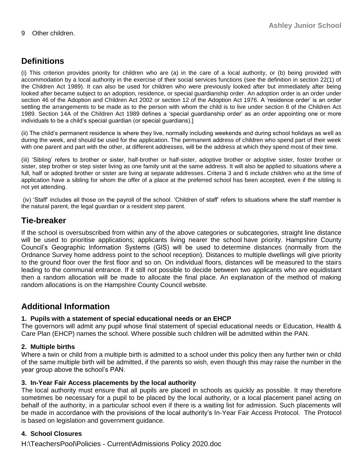# **Definitions**

(i) This criterion provides priority for children who are (a) in the care of a local authority, or (b) being provided with accommodation by a local authority in the exercise of their social services functions (see the definition in section 22(1) of the Children Act 1989). It can also be used for children who were previously looked after but immediately after being looked after became subject to an adoption, residence, or special guardianship order. An adoption order is an order under section 46 of the Adoption and Children Act 2002 or section 12 of the Adoption Act 1976. A 'residence order' is an order settling the arrangements to be made as to the person with whom the child is to live under section 8 of the Children Act 1989. Section 14A of the Children Act 1989 defines a 'special guardianship order' as an order appointing one or more individuals to be a child's special guardian (or special guardians).]

(ii) The child's permanent residence is where they live, normally including weekends and during school holidays as well as during the week, and should be used for the application. The permanent address of children who spend part of their week with one parent and part with the other, at different addresses, will be the address at which they spend most of their time.

(iii) 'Sibling' refers to brother or sister, half-brother or half-sister, adoptive brother or adoptive sister, foster brother or sister, step brother or step sister living as one family unit at the same address. It will also be applied to situations where a full, half or adopted brother or sister are living at separate addresses. Criteria 3 and 6 include children who at the time of application have a sibling for whom the offer of a place at the preferred school has been accepted, even if the sibling is not yet attending.

(iv) 'Staff' includes all those on the payroll of the school. 'Children of staff' refers to situations where the staff member is the natural parent, the legal guardian or a resident step parent.

## **Tie-breaker**

If the school is oversubscribed from within any of the above categories or subcategories, straight line distance will be used to prioritise applications; applicants living nearer the school have priority. Hampshire County Council's Geographic Information Systems (GIS) will be used to determine distances (normally from the Ordnance Survey home address point to the school reception). Distances to multiple dwellings will give priority to the ground floor over the first floor and so on. On individual floors, distances will be measured to the stairs leading to the communal entrance. If it still not possible to decide between two applicants who are equidistant then a random allocation will be made to allocate the final place. An explanation of the method of making random allocations is on the Hampshire County Council website.

# **Additional Information**

## **1. Pupils with a statement of special educational needs or an EHCP**

The governors will admit any pupil whose final statement of special educational needs or Education, Health & Care Plan (EHCP) names the school. Where possible such children will be admitted within the PAN.

## **2. Multiple births**

Where a twin or child from a multiple birth is admitted to a school under this policy then any further twin or child of the same multiple birth will be admitted, if the parents so wish, even though this may raise the number in the year group above the school's PAN.

## **3. In-Year Fair Access placements by the local authority**

The local authority must ensure that all pupils are placed in schools as quickly as possible. It may therefore sometimes be necessary for a pupil to be placed by the local authority, or a local placement panel acting on behalf of the authority, in a particular school even if there is a waiting list for admission. Such placements will be made in accordance with the provisions of the local authority's In-Year Fair Access Protocol. The Protocol is based on legislation and government guidance.

## **4. School Closures**

H:\TeachersPool\Policies - Current\Admissions Policy 2020.doc